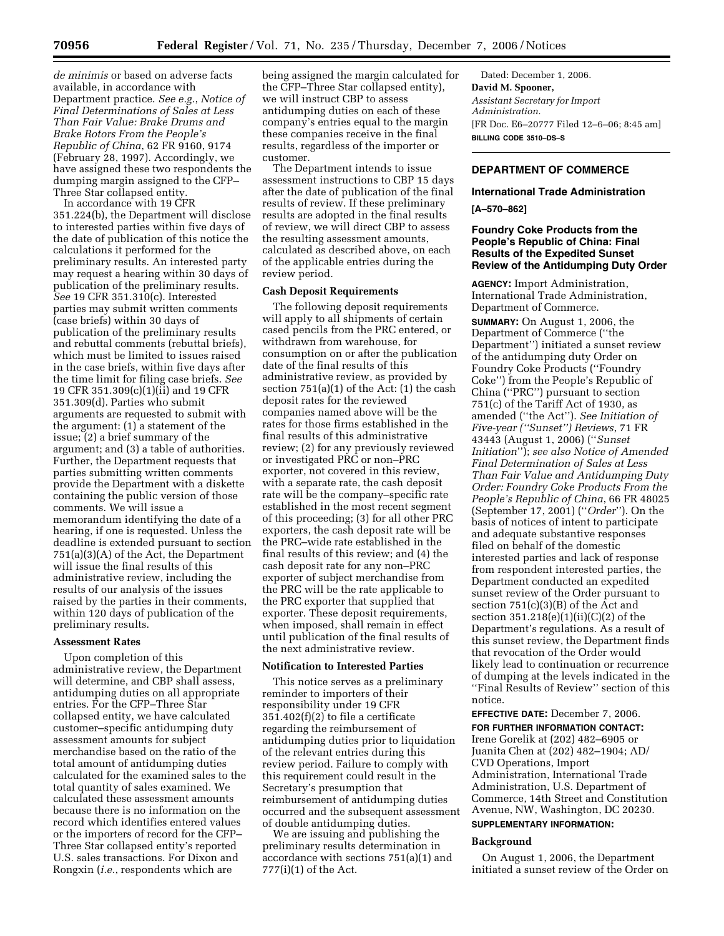*de minimis* or based on adverse facts available, in accordance with Department practice. *See e.g.*, *Notice of Final Determinations of Sales at Less Than Fair Value: Brake Drums and Brake Rotors From the People's Republic of China*, 62 FR 9160, 9174 (February 28, 1997). Accordingly, we have assigned these two respondents the dumping margin assigned to the CFP– Three Star collapsed entity.

In accordance with 19 CFR 351.224(b), the Department will disclose to interested parties within five days of the date of publication of this notice the calculations it performed for the preliminary results. An interested party may request a hearing within 30 days of publication of the preliminary results. *See* 19 CFR 351.310(c). Interested parties may submit written comments (case briefs) within 30 days of publication of the preliminary results and rebuttal comments (rebuttal briefs), which must be limited to issues raised in the case briefs, within five days after the time limit for filing case briefs. *See*  19 CFR 351.309(c)(1)(ii) and 19 CFR 351.309(d). Parties who submit arguments are requested to submit with the argument: (1) a statement of the issue; (2) a brief summary of the argument; and (3) a table of authorities. Further, the Department requests that parties submitting written comments provide the Department with a diskette containing the public version of those comments. We will issue a memorandum identifying the date of a hearing, if one is requested. Unless the deadline is extended pursuant to section 751(a)(3)(A) of the Act, the Department will issue the final results of this administrative review, including the results of our analysis of the issues raised by the parties in their comments, within 120 days of publication of the preliminary results.

## **Assessment Rates**

Upon completion of this administrative review, the Department will determine, and CBP shall assess, antidumping duties on all appropriate entries. For the CFP–Three Star collapsed entity, we have calculated customer–specific antidumping duty assessment amounts for subject merchandise based on the ratio of the total amount of antidumping duties calculated for the examined sales to the total quantity of sales examined. We calculated these assessment amounts because there is no information on the record which identifies entered values or the importers of record for the CFP– Three Star collapsed entity's reported U.S. sales transactions. For Dixon and Rongxin (*i.e.*, respondents which are

being assigned the margin calculated for the CFP–Three Star collapsed entity), we will instruct CBP to assess antidumping duties on each of these company's entries equal to the margin these companies receive in the final results, regardless of the importer or customer.

The Department intends to issue assessment instructions to CBP 15 days after the date of publication of the final results of review. If these preliminary results are adopted in the final results of review, we will direct CBP to assess the resulting assessment amounts, calculated as described above, on each of the applicable entries during the review period.

### **Cash Deposit Requirements**

The following deposit requirements will apply to all shipments of certain cased pencils from the PRC entered, or withdrawn from warehouse, for consumption on or after the publication date of the final results of this administrative review, as provided by section 751(a)(1) of the Act: (1) the cash deposit rates for the reviewed companies named above will be the rates for those firms established in the final results of this administrative review; (2) for any previously reviewed or investigated PRC or non–PRC exporter, not covered in this review, with a separate rate, the cash deposit rate will be the company–specific rate established in the most recent segment of this proceeding; (3) for all other PRC exporters, the cash deposit rate will be the PRC–wide rate established in the final results of this review; and (4) the cash deposit rate for any non–PRC exporter of subject merchandise from the PRC will be the rate applicable to the PRC exporter that supplied that exporter. These deposit requirements, when imposed, shall remain in effect until publication of the final results of the next administrative review.

#### **Notification to Interested Parties**

This notice serves as a preliminary reminder to importers of their responsibility under 19 CFR 351.402(f)(2) to file a certificate regarding the reimbursement of antidumping duties prior to liquidation of the relevant entries during this review period. Failure to comply with this requirement could result in the Secretary's presumption that reimbursement of antidumping duties occurred and the subsequent assessment of double antidumping duties.

We are issuing and publishing the preliminary results determination in accordance with sections 751(a)(1) and 777(i)(1) of the Act.

Dated: December 1, 2006. **David M. Spooner,**  *Assistant Secretary for Import Administration.*  [FR Doc. E6–20777 Filed 12–6–06; 8:45 am] **BILLING CODE 3510–DS–S** 

# **DEPARTMENT OF COMMERCE**

## **International Trade Administration**

### **[A–570–862]**

## **Foundry Coke Products from the People's Republic of China: Final Results of the Expedited Sunset Review of the Antidumping Duty Order**

**AGENCY:** Import Administration, International Trade Administration, Department of Commerce.

**SUMMARY:** On August 1, 2006, the Department of Commerce (''the Department'') initiated a sunset review of the antidumping duty Order on Foundry Coke Products (''Foundry Coke'') from the People's Republic of China (''PRC'') pursuant to section 751(c) of the Tariff Act of 1930, as amended (''the Act''). *See Initiation of Five-year (''Sunset'') Reviews*, 71 FR 43443 (August 1, 2006) (''*Sunset Initiation*''); *see also Notice of Amended Final Determination of Sales at Less Than Fair Value and Antidumping Duty Order: Foundry Coke Products From the People's Republic of China*, 66 FR 48025 (September 17, 2001) (''*Order*''). On the basis of notices of intent to participate and adequate substantive responses filed on behalf of the domestic interested parties and lack of response from respondent interested parties, the Department conducted an expedited sunset review of the Order pursuant to section 751(c)(3)(B) of the Act and section 351.218(e)(1)(ii)(C)(2) of the Department's regulations. As a result of this sunset review, the Department finds that revocation of the Order would likely lead to continuation or recurrence of dumping at the levels indicated in the ''Final Results of Review'' section of this notice.

**EFFECTIVE DATE:** December 7, 2006.

**FOR FURTHER INFORMATION CONTACT:**  Irene Gorelik at (202) 482–6905 or Juanita Chen at (202) 482–1904; AD/ CVD Operations, Import Administration, International Trade Administration, U.S. Department of Commerce, 14th Street and Constitution Avenue, NW, Washington, DC 20230.

# **SUPPLEMENTARY INFORMATION:**

#### **Background**

On August 1, 2006, the Department initiated a sunset review of the Order on